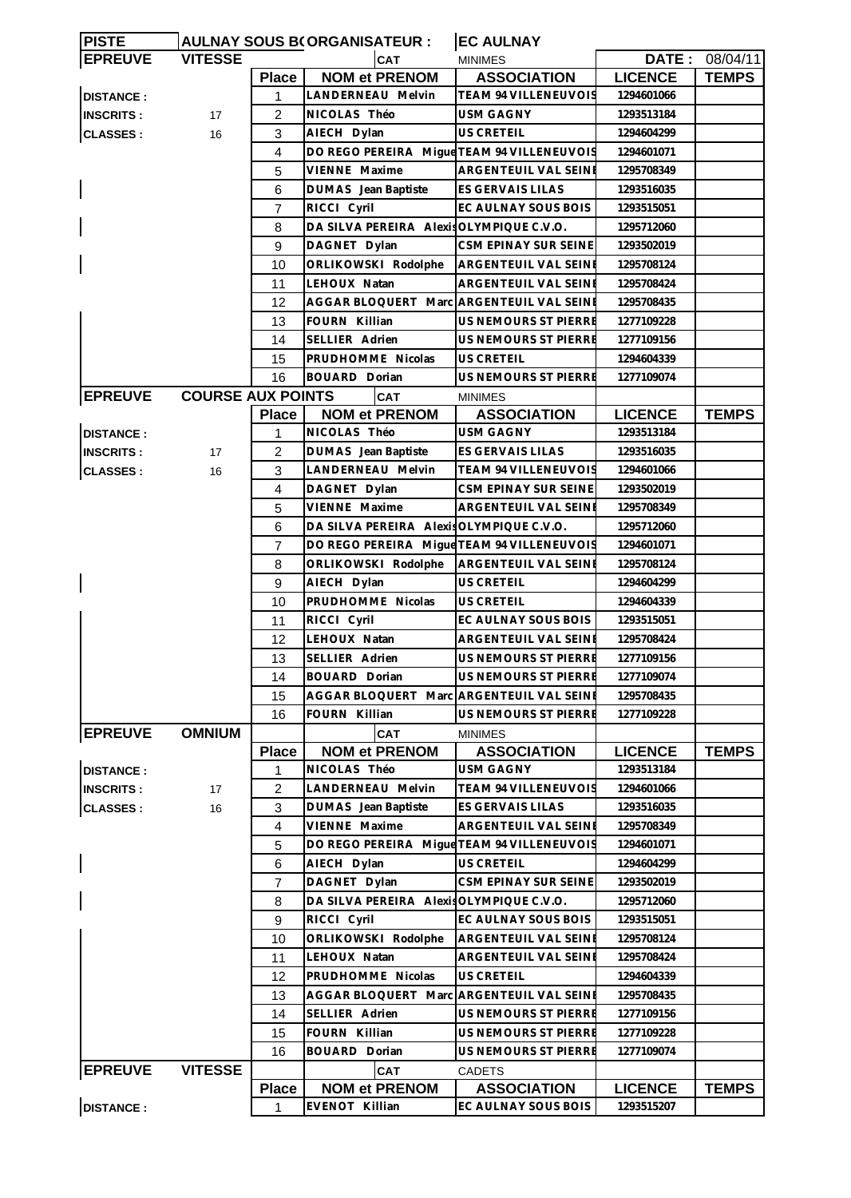| <b>PISTE</b>     |                          |                | <b>AULNAY SOUS B(ORGANISATEUR:</b>         | <b>EC AULNAY</b>            |                |                |
|------------------|--------------------------|----------------|--------------------------------------------|-----------------------------|----------------|----------------|
| <b>EPREUVE</b>   | <b>VITESSE</b>           |                | <b>CAT</b>                                 | <b>MINIMES</b>              |                | DATE: 08/04/11 |
|                  |                          | <b>Place</b>   | <b>NOM et PRENOM</b>                       | <b>ASSOCIATION</b>          | <b>LICENCE</b> | <b>TEMPS</b>   |
| <b>DISTANCE:</b> |                          | 1              | LANDERNEAU Melvin                          | <b>TEAM 94 VILLENEUVOIS</b> | 1294601066     |                |
| <b>INSCRITS:</b> | 17                       | 2              | NICOLAS Théo                               | USM GAGNY                   | 1293513184     |                |
| <b>CLASSES:</b>  | 16                       | 3              | AIECH Dylan                                | US CRETEIL                  | 1294604299     |                |
|                  |                          | 4              | DO REGO PEREIRA Migue TEAM 94 VILLENEUVOIS |                             | 1294601071     |                |
|                  |                          | 5              | VIENNE Maxime                              | ARGENTEUIL VAL SEINE        | 1295708349     |                |
|                  |                          | 6              | DUMAS Jean Baptiste                        | ES GERVAIS LILAS            | 1293516035     |                |
|                  |                          | 7              | RICCI Cyril                                | EC AULNAY SOUS BOIS         | 1293515051     |                |
|                  |                          | 8              | DA SILVA PEREIRA Alexis OLYMPIQUE C.V.O.   |                             | 1295712060     |                |
|                  |                          | 9              | DAGNET Dylan                               | CSM EPINAY SUR SEINE        | 1293502019     |                |
|                  |                          | 10             | ORLIKOWSKI Rodolphe                        | ARGENTEUIL VAL SEINE        | 1295708124     |                |
|                  |                          | 11             | LEHOUX Natan                               | ARGENTEUIL VAL SEINE        | 1295708424     |                |
|                  |                          | 12             | AGGAR BLOQUERT Marc ARGENTEUIL VAL SEINE   |                             | 1295708435     |                |
|                  |                          | 13             | FOURN Killian                              | US NEMOURS ST PIERRE        | 1277109228     |                |
|                  |                          | 14             | SELLIER Adrien                             | US NEMOURS ST PIERRE        | 1277109156     |                |
|                  |                          | 15             | PRUDHOMME Nicolas                          | US CRETEIL                  | 1294604339     |                |
|                  |                          | 16             | <b>BOUARD</b> Dorian                       | US NEMOURS ST PIERRE        | 1277109074     |                |
| <b>EPREUVE</b>   | <b>COURSE AUX POINTS</b> |                | <b>CAT</b>                                 | MINIMES                     |                |                |
|                  |                          | <b>Place</b>   | <b>NOM et PRENOM</b>                       | <b>ASSOCIATION</b>          | <b>LICENCE</b> | <b>TEMPS</b>   |
| <b>DISTANCE:</b> |                          | 1              | NICOLAS Théo                               | <b>USM GAGNY</b>            | 1293513184     |                |
|                  |                          |                |                                            |                             |                |                |
| <b>INSCRITS:</b> | 17                       | $\overline{2}$ | DUMAS Jean Baptiste                        | ES GERVAIS LILAS            | 1293516035     |                |
| <b>CLASSES:</b>  | 16                       | 3              | LANDERNEAU Melvin                          | TEAM 94 VILLENEUVOIS        | 1294601066     |                |
|                  |                          | $\overline{4}$ | DAGNET Dylan                               | CSM EPINAY SUR SEINE        | 1293502019     |                |
|                  |                          | 5              | VIENNE Maxime                              | ARGENTEUIL VAL SEINE        | 1295708349     |                |
|                  |                          | 6              | DA SILVA PEREIRA Alexis OLYMPIQUE C.V.O.   |                             | 1295712060     |                |
|                  |                          | 7              | DO REGO PEREIRA Migue TEAM 94 VILLENEUVOIS |                             | 1294601071     |                |
|                  |                          | 8              | ORLIKOWSKI Rodolphe                        | ARGENTEUIL VAL SEINE        | 1295708124     |                |
|                  |                          | 9              | AIECH Dylan                                | US CRETEIL                  | 1294604299     |                |
|                  |                          | 10             | PRUDHOMME Nicolas                          | US CRETEIL                  | 1294604339     |                |
|                  |                          | 11             | RICCI Cyril                                | EC AULNAY SOUS BOIS         | 1293515051     |                |
|                  |                          | 12             | LEHOUX Natan                               | ARGENTEUIL VAL SEINE        | 1295708424     |                |
|                  |                          | 13             | SELLIER Adrien                             | US NEMOURS ST PIERRE        | 1277109156     |                |
|                  |                          | 14             | BOUARD Dorian                              | US NEMOURS ST PIERRE        | 1277109074     |                |
|                  |                          | 15             | AGGAR BLOQUERT Marc ARGENTEUIL VAL SEINE   |                             | 1295708435     |                |
|                  |                          | 16             | FOURN Killian                              | US NEMOURS ST PIERRE        | 1277109228     |                |
| <b>EPREUVE</b>   | <b>OMNIUM</b>            |                | <b>CAT</b>                                 | <b>MINIMES</b>              |                |                |
|                  |                          | <b>Place</b>   | <b>NOM et PRENOM</b>                       | <b>ASSOCIATION</b>          | <b>LICENCE</b> | <b>TEMPS</b>   |
| <b>DISTANCE:</b> |                          | 1              | NICOLAS Théo                               | USM GAGNY                   | 1293513184     |                |
| <b>INSCRITS:</b> | 17                       | 2              | LANDERNEAU Melvin                          | TEAM 94 VILLENEUVOIS        | 1294601066     |                |
| <b>CLASSES:</b>  | 16                       | 3              | DUMAS Jean Baptiste                        | ES GERVAIS LILAS            | 1293516035     |                |
|                  |                          | $\overline{4}$ | VIENNE Maxime                              | ARGENTEUIL VAL SEINE        | 1295708349     |                |
|                  |                          | 5              | DO REGO PEREIRA Mique TEAM 94 VILLENEUVOIS |                             | 1294601071     |                |
|                  |                          | 6              | AIECH Dylan                                | US CRETEIL                  | 1294604299     |                |
|                  |                          | 7              | DAGNET Dylan                               | CSM EPINAY SUR SEINE        | 1293502019     |                |
|                  |                          | 8              | DA SILVA PEREIRA Alexis                    | OLYMPIQUE C.V.O.            | 1295712060     |                |
|                  |                          | 9              | RICCI Cyril                                | EC AULNAY SOUS BOIS         | 1293515051     |                |
|                  |                          | 10             | ORLIKOWSKI Rodolphe                        | ARGENTEUIL VAL SEINE        | 1295708124     |                |
|                  |                          | 11             | LEHOUX Natan                               | ARGENTEUIL VAL SEINI        | 1295708424     |                |
|                  |                          | 12             | PRUDHOMME Nicolas                          | US CRETEIL                  | 1294604339     |                |
|                  |                          |                | AGGAR BLOQUERT Marc ARGENTEUIL VAL SEINE   |                             |                |                |
|                  |                          | 13             |                                            |                             | 1295708435     |                |
|                  |                          | 14             | SELLIER Adrien                             | US NEMOURS ST PIERRE        | 1277109156     |                |
|                  |                          | 15             | FOURN Killian                              | US NEMOURS ST PIERRE        | 1277109228     |                |
|                  |                          | 16             | BOUARD Dorian                              | US NEMOURS ST PIERRE        | 1277109074     |                |
| <b>EPREUVE</b>   | <b>VITESSE</b>           |                | <b>CAT</b>                                 | <b>CADETS</b>               |                |                |
|                  |                          | <b>Place</b>   | <b>NOM et PRENOM</b>                       | <b>ASSOCIATION</b>          | <b>LICENCE</b> | <b>TEMPS</b>   |
| <b>DISTANCE:</b> |                          | 1              | <b>EVENOT Killian</b>                      | EC AULNAY SOUS BOIS         | 1293515207     |                |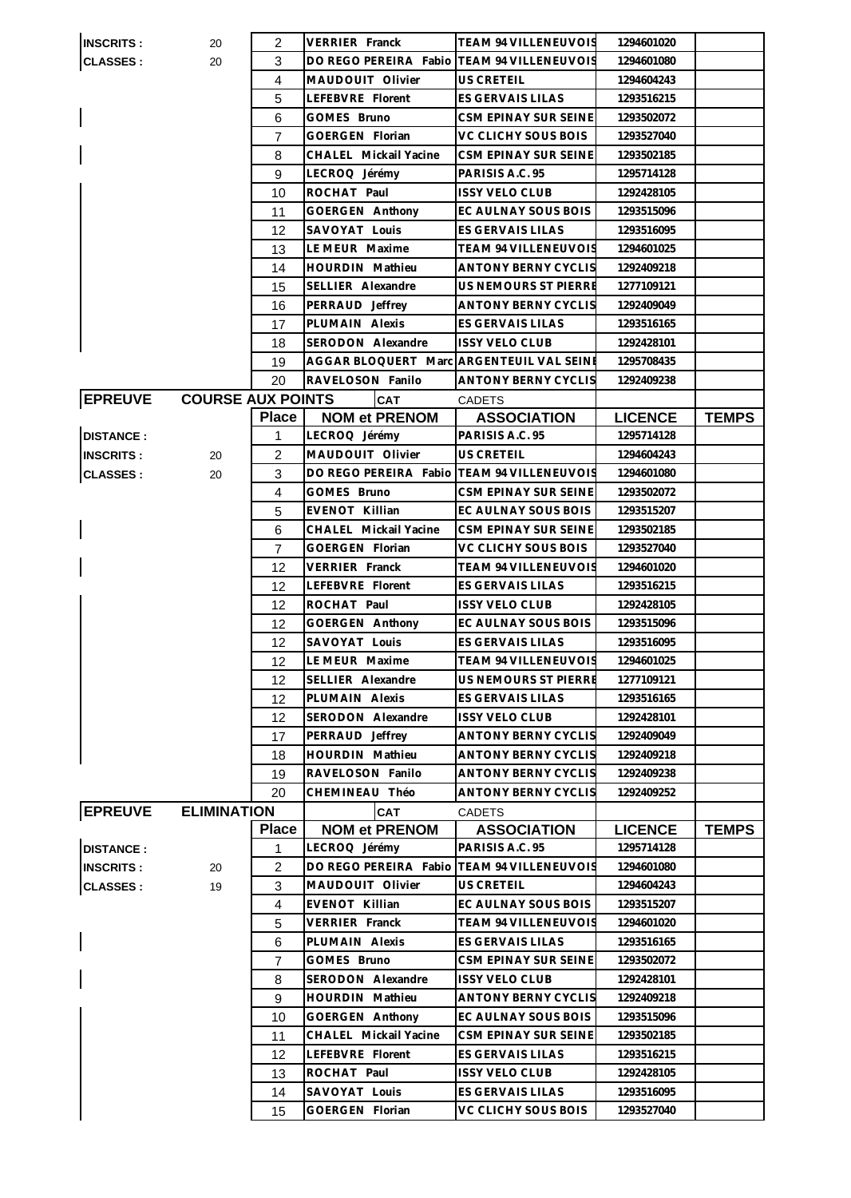| <b>INSCRITS:</b>         | 20                       | $\overline{2}$ | <b>VERRIER Franck</b>                    | TEAM 94 VILLENEUVOIS                    | 1294601020               |              |
|--------------------------|--------------------------|----------------|------------------------------------------|-----------------------------------------|--------------------------|--------------|
| <b>CLASSES:</b>          | 20                       | 3              | DO REGO PEREIRA Fabio                    | <b>TEAM 94 VILLENEUVOIS</b>             | 1294601080               |              |
|                          |                          | 4              | MAUDOUIT Olivier                         | US CRETEIL                              | 1294604243               |              |
|                          |                          | 5              | LEFEBVRE Florent                         | ES GERVAIS LILAS                        | 1293516215               |              |
|                          |                          | 6              | GOMES Bruno                              | CSM EPINAY SUR SEINE                    | 1293502072               |              |
|                          |                          | $\overline{7}$ | GOERGEN Florian                          | VC CLICHY SOUS BOIS                     | 1293527040               |              |
|                          |                          | 8              | CHALEL Mickail Yacine                    | CSM EPINAY SUR SEINE                    | 1293502185               |              |
|                          |                          | 9              | LECROQ Jérémy                            | PARISIS A.C. 95                         | 1295714128               |              |
|                          |                          | 10             | ROCHAT Paul                              | <b>ISSY VELO CLUB</b>                   | 1292428105               |              |
|                          |                          | 11             | GOERGEN Anthony                          | EC AULNAY SOUS BOIS                     | 1293515096               |              |
|                          |                          | 12             | SAVOYAT Louis                            | ES GERVAIS LILAS                        | 1293516095               |              |
|                          |                          | 13             | LE MEUR Maxime                           | TEAM 94 VILLENEUVOIS                    | 1294601025               |              |
|                          |                          | 14             | HOURDIN Mathieu                          | <b>ANTONY BERNY CYCLIS</b>              | 1292409218               |              |
|                          |                          | 15             | SELLIER Alexandre                        | US NEMOURS ST PIERRE                    | 1277109121               |              |
|                          |                          | 16             | PERRAUD Jeffrey                          | <b>ANTONY BERNY CYCLIS</b>              | 1292409049               |              |
|                          |                          | 17             | PLUMAIN Alexis                           | ES GERVAIS LILAS                        | 1293516165               |              |
|                          |                          | 18             | SERODON Alexandre                        | <b>ISSY VELO CLUB</b>                   | 1292428101               |              |
|                          |                          | 19             | AGGAR BLOQUERT Marc ARGENTEUIL VAL SEINE |                                         | 1295708435               |              |
|                          |                          | 20             | RAVELOSON Fanilo                         | <b>ANTONY BERNY CYCLIS</b>              | 1292409238               |              |
| <b>EPREUVE</b>           | <b>COURSE AUX POINTS</b> |                | <b>CAT</b>                               | <b>CADETS</b>                           |                          |              |
|                          |                          | <b>Place</b>   | <b>NOM et PRENOM</b>                     | <b>ASSOCIATION</b>                      | <b>LICENCE</b>           | <b>TEMPS</b> |
| <b>DISTANCE:</b>         |                          | 1              | LECROQ Jérémy                            | PARISIS A.C. 95                         | 1295714128               |              |
| <b>INSCRITS:</b>         | 20                       | 2              | MAUDOUIT Olivier                         | <b>US CRETEIL</b>                       | 1294604243               |              |
| <b>CLASSES:</b>          | 20                       | 3              | DO REGO PEREIRA Fabio                    | TEAM 94 VILLENEUVOIS                    | 1294601080               |              |
|                          |                          | $\overline{4}$ | GOMES Bruno                              | CSM EPINAY SUR SEINE                    | 1293502072               |              |
|                          |                          | 5              | EVENOT Killian                           | EC AULNAY SOUS BOIS                     | 1293515207               |              |
| $\overline{\phantom{a}}$ |                          | 6              | CHALEL Mickail Yacine                    | CSM EPINAY SUR SEINE                    | 1293502185               |              |
|                          |                          | 7              | GOERGEN Florian                          | VC CLICHY SOUS BOIS                     | 1293527040               |              |
|                          |                          | 12             | VERRIER Franck                           | <b>TEAM 94 VILLENEUVOIS</b>             | 1294601020               |              |
|                          |                          | 12             | LEFEBVRE Florent                         | ES GERVAIS LILAS                        | 1293516215               |              |
|                          |                          | 12             | ROCHAT Paul                              | <b>ISSY VELO CLUB</b>                   | 1292428105               |              |
|                          |                          | 12             | GOERGEN Anthony                          | EC AULNAY SOUS BOIS                     | 1293515096               |              |
|                          |                          | 12             | SAVOYAT Louis                            | ES GERVAIS LILAS                        | 1293516095               |              |
|                          |                          | 12             | LE MEUR Maxime                           | <b>TEAM 94 VILLENEUVOIS</b>             | 1294601025               |              |
|                          |                          | 12             | SELLIER Alexandre                        | US NEMOURS ST PIERRE                    | 1277109121               |              |
|                          |                          | 12             | PLUMAIN Alexis                           | ES GERVAIS LILAS                        | 1293516165               |              |
|                          |                          | 12             | SERODON Alexandre                        | <b>ISSY VELO CLUB</b>                   | 1292428101               |              |
|                          |                          | 17             | PERRAUD Jeffrey                          | <b>ANTONY BERNY CYCLIS</b>              | 1292409049               |              |
|                          |                          | 18             | HOURDIN Mathieu                          | <b>ANTONY BERNY CYCLIS</b>              | 1292409218               |              |
|                          |                          | 19             | RAVELOSON Fanilo                         | <b>ANTONY BERNY CYCLIS</b>              | 1292409238               |              |
|                          |                          | 20             | CHEMINEAU Théo                           | ANTONY BERNY CYCLIS                     | 1292409252               |              |
| <b>EPREUVE</b>           | <b>ELIMINATION</b>       |                | <b>CAT</b>                               | <b>CADETS</b>                           |                          |              |
|                          |                          | <b>Place</b>   | <b>NOM et PRENOM</b>                     | <b>ASSOCIATION</b>                      | <b>LICENCE</b>           | <b>TEMPS</b> |
| <b>DISTANCE:</b>         |                          | 1              | LECROQ Jérémy                            | PARISIS A.C. 95                         | 1295714128               |              |
| <b>INSCRITS:</b>         | 20                       | $\overline{2}$ | DO REGO PEREIRA Fabio                    | TEAM 94 VILLENEUVOIS                    | 1294601080               |              |
| <b>CLASSES:</b>          | 19                       | 3              | MAUDOUIT Olivier                         | <b>US CRETEIL</b>                       | 1294604243               |              |
|                          |                          | $\overline{4}$ | <b>EVENOT Killian</b>                    | EC AULNAY SOUS BOIS                     | 1293515207               |              |
|                          |                          | 5              | VERRIER Franck                           | TEAM 94 VILLENEUVOIS                    | 1294601020               |              |
|                          |                          | 6              | PLUMAIN Alexis                           | ES GERVAIS LILAS                        | 1293516165               |              |
|                          |                          | 7              | GOMES Bruno                              | CSM EPINAY SUR SEINE                    | 1293502072               |              |
|                          |                          | 8              | SERODON Alexandre                        | <b>ISSY VELO CLUB</b>                   | 1292428101               |              |
|                          |                          | 9              | HOURDIN Mathieu                          | <b>ANTONY BERNY CYCLIS</b>              | 1292409218               |              |
|                          |                          | 10             | GOERGEN Anthony                          | EC AULNAY SOUS BOIS                     | 1293515096               |              |
|                          |                          | 11             | CHALEL Mickail Yacine                    | CSM EPINAY SUR SEINE                    | 1293502185<br>1293516215 |              |
|                          |                          |                |                                          |                                         |                          |              |
|                          |                          | 12             | LEFEBVRE Florent                         | ES GERVAIS LILAS                        |                          |              |
|                          |                          | 13             | ROCHAT Paul                              | <b>ISSY VELO CLUB</b>                   | 1292428105               |              |
|                          |                          | 14<br>15       | SAVOYAT Louis<br>GOERGEN Florian         | ES GERVAIS LILAS<br>VC CLICHY SOUS BOIS | 1293516095<br>1293527040 |              |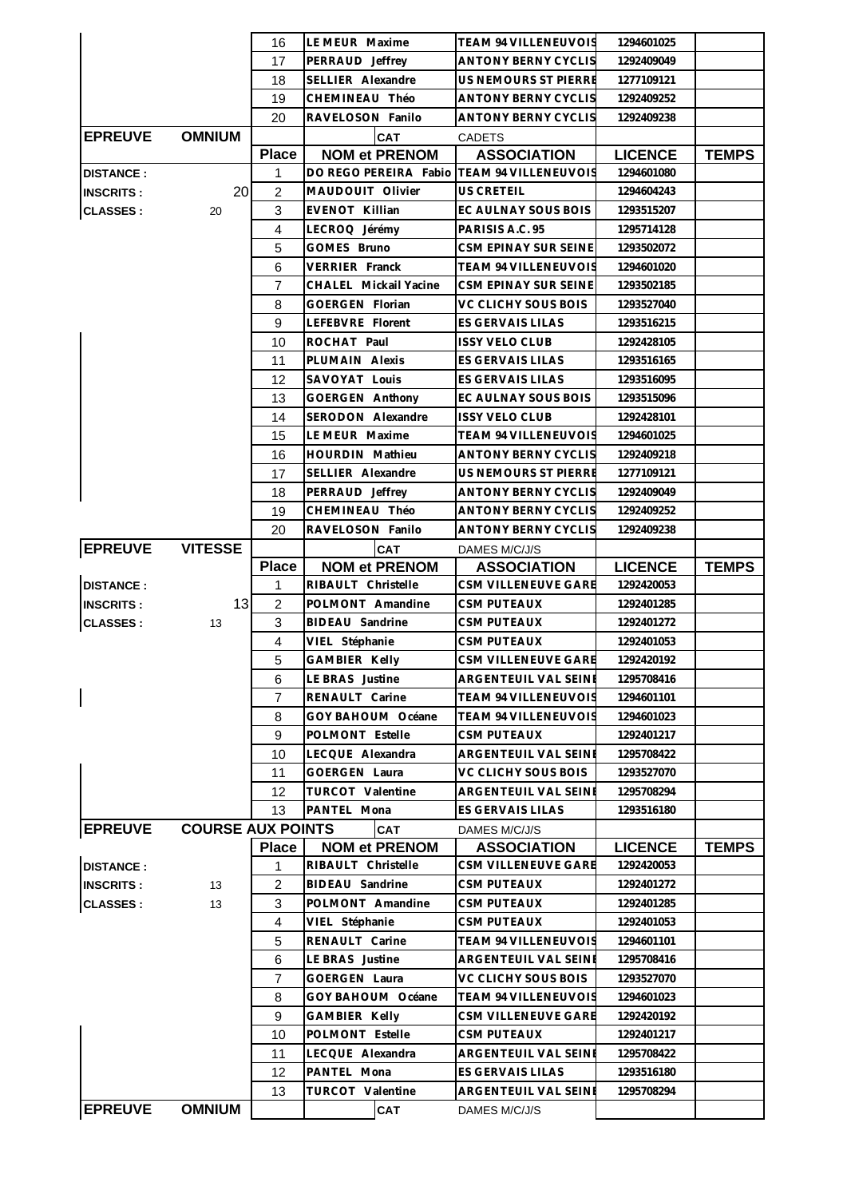|                                      |                          | 16                  | LE MEUR Maxime                             | TEAM 94 VILLENEUVOIS                      | 1294601025                   |              |
|--------------------------------------|--------------------------|---------------------|--------------------------------------------|-------------------------------------------|------------------------------|--------------|
|                                      |                          | 17                  | PERRAUD Jeffrey                            | <b>ANTONY BERNY CYCLIS</b>                | 1292409049                   |              |
|                                      |                          | 18                  | SELLIER Alexandre                          | US NEMOURS ST PIERRE                      | 1277109121                   |              |
|                                      |                          | 19                  | CHEMINEAU Théo                             | <b>ANTONY BERNY CYCLIS</b>                | 1292409252                   |              |
|                                      |                          | 20                  | RAVELOSON Fanilo                           | <b>ANTONY BERNY CYCLIS</b>                | 1292409238                   |              |
| <b>EPREUVE</b>                       | <b>OMNIUM</b>            |                     | <b>CAT</b>                                 | <b>CADETS</b>                             |                              |              |
|                                      |                          | <b>Place</b>        | <b>NOM et PRENOM</b>                       | <b>ASSOCIATION</b>                        | <b>LICENCE</b>               | <b>TEMPS</b> |
| <b>DISTANCE:</b>                     |                          | 1                   | DO REGO PEREIRA Fabio                      | <b>TEAM 94 VILLENEUVOIS</b>               | 1294601080                   |              |
| <b>INSCRITS:</b>                     | 20                       | $\overline{2}$      | MAUDOUIT Olivier                           | US CRETEIL                                | 1294604243                   |              |
| <b>CLASSES:</b>                      | 20                       | 3                   | EVENOT Killian                             | EC AULNAY SOUS BOIS                       | 1293515207                   |              |
|                                      |                          | $\overline{4}$      | LECROQ Jérémy                              | PARISIS A.C. 95                           | 1295714128                   |              |
|                                      |                          | 5                   | GOMES Bruno                                | CSM EPINAY SUR SEINE                      | 1293502072                   |              |
|                                      |                          | 6                   | VERRIER Franck                             | TEAM 94 VILLENEUVOIS                      | 1294601020                   |              |
|                                      |                          | $\overline{7}$      | CHALEL Mickail Yacine                      | CSM EPINAY SUR SEINE                      | 1293502185                   |              |
|                                      |                          | 8                   | GOERGEN Florian                            | VC CLICHY SOUS BOIS                       | 1293527040                   |              |
|                                      |                          | 9                   | LEFEBVRE Florent                           | ES GERVAIS LILAS                          | 1293516215                   |              |
|                                      |                          | 10                  | ROCHAT Paul                                | <b>ISSY VELO CLUB</b>                     | 1292428105                   |              |
|                                      |                          | 11                  | PLUMAIN Alexis                             | ES GERVAIS LILAS                          | 1293516165                   |              |
|                                      |                          | 12                  | SAVOYAT Louis                              | ES GERVAIS LILAS                          | 1293516095                   |              |
|                                      |                          | 13                  | GOERGEN Anthony                            | EC AULNAY SOUS BOIS                       | 1293515096                   |              |
|                                      |                          | 14                  | SERODON Alexandre                          | <b>ISSY VELO CLUB</b>                     | 1292428101                   |              |
|                                      |                          | 15                  | LE MEUR Maxime                             | TEAM 94 VILLENEUVOIS                      | 1294601025                   |              |
|                                      |                          | 16                  | HOURDIN Mathieu                            | <b>ANTONY BERNY CYCLIS</b>                | 1292409218                   |              |
|                                      |                          | 17                  | SELLIER Alexandre                          | US NEMOURS ST PIERRE                      | 1277109121                   |              |
|                                      |                          | 18                  | PERRAUD Jeffrey                            | <b>ANTONY BERNY CYCLIS</b>                | 1292409049                   |              |
|                                      |                          | 19                  | CHEMINEAU Théo                             | <b>ANTONY BERNY CYCLIS</b>                | 1292409252                   |              |
|                                      |                          | 20                  | RAVELOSON Fanilo                           | ANTONY BERNY CYCLIS                       | 1292409238                   |              |
| <b>EPREUVE</b>                       | <b>VITESSE</b>           |                     | <b>CAT</b>                                 | DAMES M/C/J/S                             |                              |              |
|                                      |                          | <b>Place</b>        | <b>NOM et PRENOM</b><br>RIBAULT Christelle | <b>ASSOCIATION</b><br>CSM VILLENEUVE GARE | <b>LICENCE</b><br>1292420053 | <b>TEMPS</b> |
| <b>DISTANCE:</b><br><b>INSCRITS:</b> | 13                       | 1<br>$\overline{2}$ | POLMONT Amandine                           | <b>CSM PUTEAUX</b>                        | 1292401285                   |              |
| <b>CLASSES:</b>                      | 13                       | 3                   | BIDEAU Sandrine                            | <b>CSM PUTEAUX</b>                        | 1292401272                   |              |
|                                      |                          | $\overline{4}$      | VIEL Stéphanie                             | <b>CSM PUTEAUX</b>                        | 1292401053                   |              |
|                                      |                          | 5                   | GAMBIER Kelly                              | CSM VILLENEUVE GARE                       | 1292420192                   |              |
|                                      |                          | 6                   | LE BRAS Justine                            | ARGENTEUIL VAL SEINE                      | 1295708416                   |              |
|                                      |                          | 7                   | RENAULT Carine                             | <b>TEAM 94 VILLENEUVOIS</b>               | 1294601101                   |              |
|                                      |                          | 8                   | GOY BAHOUM Océane                          | <b>TEAM 94 VILLENEUVOIS</b>               | 1294601023                   |              |
|                                      |                          | 9                   | POLMONT Estelle                            | <b>CSM PUTEAUX</b>                        | 1292401217                   |              |
|                                      |                          | 10                  | LECQUE Alexandra                           | ARGENTEUIL VAL SEINE                      | 1295708422                   |              |
|                                      |                          | 11                  | GOERGEN Laura                              | VC CLICHY SOUS BOIS                       | 1293527070                   |              |
|                                      |                          | 12                  | TURCOT Valentine                           | ARGENTEUIL VAL SEINE                      | 1295708294                   |              |
|                                      |                          | 13                  | PANTEL Mona                                | ES GERVAIS LILAS                          | 1293516180                   |              |
| <b>EPREUVE</b>                       | <b>COURSE AUX POINTS</b> |                     | <b>CAT</b>                                 | DAMES M/C/J/S                             |                              |              |
|                                      |                          | <b>Place</b>        | <b>NOM et PRENOM</b>                       | <b>ASSOCIATION</b>                        | <b>LICENCE</b>               | <b>TEMPS</b> |
| <b>DISTANCE:</b>                     |                          | 1                   | RIBAULT Christelle                         | CSM VILLENEUVE GARE                       | 1292420053                   |              |
| <b>INSCRITS:</b>                     |                          |                     |                                            |                                           |                              |              |
|                                      | 13                       | $\overline{c}$      | BIDEAU Sandrine                            | <b>CSM PUTEAUX</b>                        | 1292401272                   |              |
| <b>CLASSES:</b>                      | 13                       | 3                   | POLMONT Amandine                           | CSM PUTEAUX                               | 1292401285                   |              |
|                                      |                          | 4                   | VIEL Stéphanie                             | CSM PUTEAUX                               | 1292401053                   |              |
|                                      |                          | 5                   | RENAULT Carine                             | TEAM 94 VILLENEUVOIS                      | 1294601101                   |              |
|                                      |                          | 6                   | LE BRAS Justine                            | ARGENTEUIL VAL SEINE                      | 1295708416                   |              |
|                                      |                          | $\overline{7}$      | <b>GOERGEN Laura</b>                       | VC CLICHY SOUS BOIS                       | 1293527070                   |              |
|                                      |                          | 8                   | GOY BAHOUM Océane                          | <b>TEAM 94 VILLENEUVOIS</b>               | 1294601023                   |              |
|                                      |                          | 9                   | GAMBIER Kelly                              | CSM VILLENEUVE GARE                       | 1292420192                   |              |
|                                      |                          | 10                  | POLMONT Estelle                            | CSM PUTEAUX                               | 1292401217                   |              |
|                                      |                          | 11                  | LECQUE Alexandra                           | ARGENTEUIL VAL SEINE                      | 1295708422                   |              |
|                                      |                          | 12                  | PANTEL Mona                                | ES GERVAIS LILAS                          | 1293516180                   |              |
| <b>EPREUVE</b>                       | <b>OMNIUM</b>            | 13                  | TURCOT Valentine<br><b>CAT</b>             | ARGENTEUIL VAL SEINE<br>DAMES M/C/J/S     | 1295708294                   |              |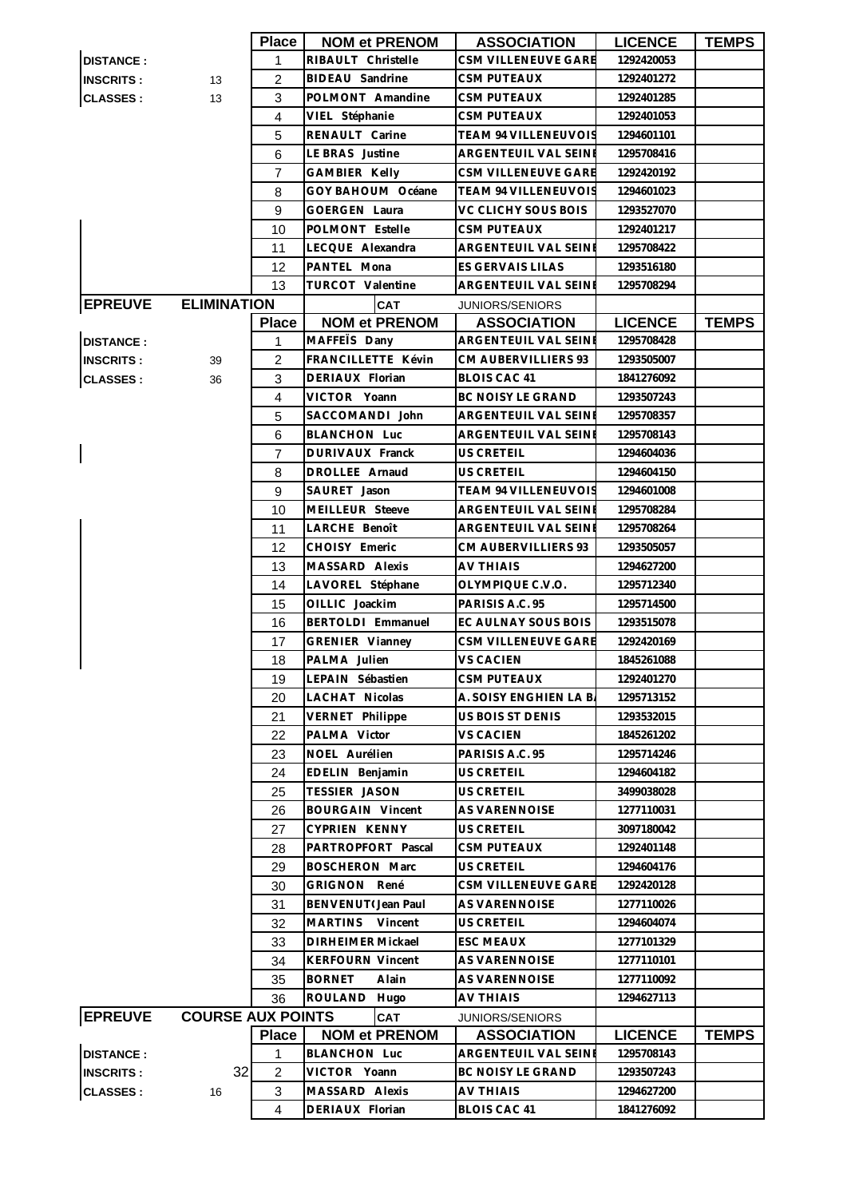|                          |                          | <b>Place</b>   | <b>NOM et PRENOM</b>      | <b>ASSOCIATION</b>     | <b>LICENCE</b> | <b>TEMPS</b> |
|--------------------------|--------------------------|----------------|---------------------------|------------------------|----------------|--------------|
| <b>DISTANCE:</b>         |                          | 1              | RIBAULT Christelle        | CSM VILLENEUVE GARE    | 1292420053     |              |
| <b>INSCRITS:</b>         | 13                       | $\overline{2}$ | <b>BIDEAU</b> Sandrine    | CSM PUTEAUX            | 1292401272     |              |
| <b>CLASSES:</b>          | 13                       | 3              | POLMONT Amandine          | CSM PUTEAUX            | 1292401285     |              |
|                          |                          | $\overline{4}$ | VIEL Stéphanie            | <b>CSM PUTEAUX</b>     | 1292401053     |              |
|                          |                          | 5              | RENAULT Carine            | TEAM 94 VILLENEUVOIS   | 1294601101     |              |
|                          |                          | 6              | LE BRAS Justine           | ARGENTEUIL VAL SEINE   | 1295708416     |              |
|                          |                          | $\overline{7}$ | <b>GAMBIER Kelly</b>      | CSM VILLENEUVE GARE    | 1292420192     |              |
|                          |                          | 8              | GOY BAHOUM Océane         | TEAM 94 VILLENEUVOIS   | 1294601023     |              |
|                          |                          | 9              | GOERGEN Laura             | VC CLICHY SOUS BOIS    | 1293527070     |              |
|                          |                          | 10             | POLMONT Estelle           | <b>CSM PUTEAUX</b>     | 1292401217     |              |
|                          |                          | 11             | LECQUE Alexandra          | ARGENTEUIL VAL SEINE   | 1295708422     |              |
|                          |                          | 12             | PANTEL Mona               | ES GERVAIS LILAS       | 1293516180     |              |
|                          |                          | 13             | <b>TURCOT Valentine</b>   | ARGENTEUIL VAL SEINE   | 1295708294     |              |
| <b>EPREUVE</b>           | <b>ELIMINATION</b>       |                | <b>CAT</b>                | JUNIORS/SENIORS        |                |              |
|                          |                          | <b>Place</b>   | <b>NOM et PRENOM</b>      | <b>ASSOCIATION</b>     | <b>LICENCE</b> | <b>TEMPS</b> |
| <b>DISTANCE:</b>         |                          | 1              | MAFFETS Dany              | ARGENTEUIL VAL SEINE   | 1295708428     |              |
| <b>INSCRITS:</b>         | 39                       | $\overline{2}$ | FRANCILLETTE Kévin        | CM AUBERVILLIERS 93    | 1293505007     |              |
| <b>CLASSES:</b>          | 36                       | 3              | DERIAUX Florian           | BLOIS CAC 41           | 1841276092     |              |
|                          |                          | 4              | VICTOR Yoann              | BC NOISY LE GRAND      | 1293507243     |              |
|                          |                          | 5              | SACCOMANDI John           | ARGENTEUIL VAL SEINE   | 1295708357     |              |
|                          |                          | 6              | <b>BLANCHON Luc</b>       | ARGENTEUIL VAL SEINI   | 1295708143     |              |
| $\overline{\phantom{a}}$ |                          | $\overline{7}$ | DURIVAUX Franck           | <b>US CRETEIL</b>      | 1294604036     |              |
|                          |                          | 8              | DROLLEE Arnaud            | US CRETEIL             | 1294604150     |              |
|                          |                          | 9              | SAURET Jason              | TEAM 94 VILLENEUVOIS   | 1294601008     |              |
|                          |                          |                | MEILLEUR Steeve           | ARGENTEUIL VAL SEINE   |                |              |
|                          |                          | 10             |                           |                        | 1295708284     |              |
|                          |                          | 11             | LARCHE Benoît             | ARGENTEUIL VAL SEINI   | 1295708264     |              |
|                          |                          | 12             | CHOISY Emeric             | CM AUBERVILLIERS 93    | 1293505057     |              |
|                          |                          | 13             | MASSARD Alexis            | <b>AV THIAIS</b>       | 1294627200     |              |
|                          |                          | 14             | LAVOREL Stéphane          | OLYMPIQUE C.V.O.       | 1295712340     |              |
|                          |                          | 15             | OILLIC Joackim            | PARISIS A.C. 95        | 1295714500     |              |
|                          |                          | 16             | BERTOLDI Emmanuel         | EC AULNAY SOUS BOIS    | 1293515078     |              |
|                          |                          | 17             | GRENIER Vianney           | CSM VILLENEUVE GARE    | 1292420169     |              |
|                          |                          | 18             | PALMA Julien              | <b>VS CACIEN</b>       | 1845261088     |              |
|                          |                          | 19             | LEPAIN Sébastien          | <b>CSM PUTEAUX</b>     | 1292401270     |              |
|                          |                          | 20             | LACHAT Nicolas            | A. SOISY ENGHIEN LA B. | 1295713152     |              |
|                          |                          | 21             | VERNET Philippe           | US BOIS ST DENIS       | 1293532015     |              |
|                          |                          | 22             | PALMA Victor              | <b>VS CACIEN</b>       | 1845261202     |              |
|                          |                          | 23             | NOEL Aurélien             | PARISIS A.C. 95        | 1295714246     |              |
|                          |                          | 24             | EDELIN Benjamin           | US CRETEIL             | 1294604182     |              |
|                          |                          | 25             | TESSIER JASON             | US CRETEIL             | 3499038028     |              |
|                          |                          | 26             | <b>BOURGAIN Vincent</b>   | AS VARENNOISE          | 1277110031     |              |
|                          |                          | 27             | CYPRIEN KENNY             | <b>US CRETEIL</b>      | 3097180042     |              |
|                          |                          | 28             | PARTROPFORT Pascal        | <b>CSM PUTEAUX</b>     | 1292401148     |              |
|                          |                          | 29             | <b>BOSCHERON Marc</b>     | US CRETEIL             | 1294604176     |              |
|                          |                          | 30             | GRIGNON René              | CSM VILLENEUVE GARE    | 1292420128     |              |
|                          |                          | 31             | BENVENUT (Jean Paul       | AS VARENNOISE          | 1277110026     |              |
|                          |                          | 32             | <b>MARTINS</b><br>Vincent | US CRETEIL             | 1294604074     |              |
|                          |                          | 33             | DIRHEIMER Mickael         | <b>ESC MEAUX</b>       | 1277101329     |              |
|                          |                          | 34             | <b>KERFOURN Vincent</b>   | AS VARENNOISE          | 1277110101     |              |
|                          |                          | 35             | <b>BORNET</b><br>Alain    | AS VARENNOISE          | 1277110092     |              |
|                          |                          | 36             | ROULAND<br>Hugo           | <b>AV THIAIS</b>       | 1294627113     |              |
| <b>EPREUVE</b>           | <b>COURSE AUX POINTS</b> |                | <b>CAT</b>                | JUNIORS/SENIORS        |                |              |
|                          |                          | <b>Place</b>   | <b>NOM et PRENOM</b>      | <b>ASSOCIATION</b>     | <b>LICENCE</b> | <b>TEMPS</b> |
| <b>DISTANCE:</b>         |                          | 1              | <b>BLANCHON Luc</b>       | ARGENTEUIL VAL SEINE   | 1295708143     |              |
| <b>INSCRITS:</b>         | 32                       | $\overline{c}$ | VICTOR Yoann              | BC NOISY LE GRAND      | 1293507243     |              |
| <b>CLASSES:</b>          | 16                       | 3              | MASSARD Alexis            | AV THIAIS              | 1294627200     |              |
|                          |                          | 4              | DERIAUX Florian           | <b>BLOIS CAC 41</b>    | 1841276092     |              |